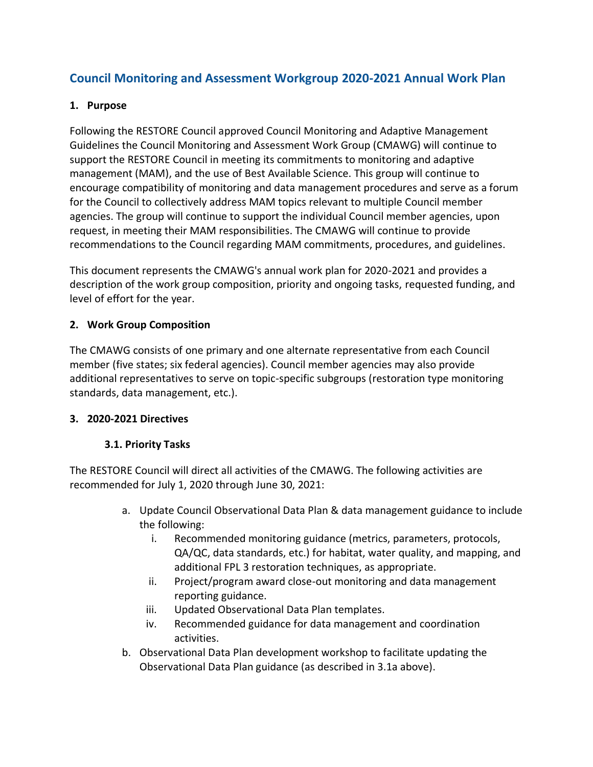# **Council Monitoring and Assessment Workgroup 2020-2021 Annual Work Plan**

#### **1. Purpose**

Following the RESTORE Council approved Council Monitoring and Adaptive Management Guidelines the Council Monitoring and Assessment Work Group (CMAWG) will continue to support the RESTORE Council in meeting its commitments to monitoring and adaptive management (MAM), and the use of Best Available Science. This group will continue to encourage compatibility of monitoring and data management procedures and serve as a forum for the Council to collectively address MAM topics relevant to multiple Council member agencies. The group will continue to support the individual Council member agencies, upon request, in meeting their MAM responsibilities. The CMAWG will continue to provide recommendations to the Council regarding MAM commitments, procedures, and guidelines.

This document represents the CMAWG's annual work plan for 2020-2021 and provides a description of the work group composition, priority and ongoing tasks, requested funding, and level of effort for the year.

### **2. Work Group Composition**

The CMAWG consists of one primary and one alternate representative from each Council member (five states; six federal agencies). Council member agencies may also provide additional representatives to serve on topic-specific subgroups (restoration type monitoring standards, data management, etc.).

#### **3. 2020-2021 Directives**

### **3.1. Priority Tasks**

The RESTORE Council will direct all activities of the CMAWG. The following activities are recommended for July 1, 2020 through June 30, 2021:

- a. Update Council Observational Data Plan & data management guidance to include the following:
	- i. Recommended monitoring guidance (metrics, parameters, protocols, QA/QC, data standards, etc.) for habitat, water quality, and mapping, and additional FPL 3 restoration techniques, as appropriate.
	- ii. Project/program award close-out monitoring and data management reporting guidance.
	- iii. Updated Observational Data Plan templates.
	- iv. Recommended guidance for data management and coordination activities.
- b. Observational Data Plan development workshop to facilitate updating the Observational Data Plan guidance (as described in 3.1a above).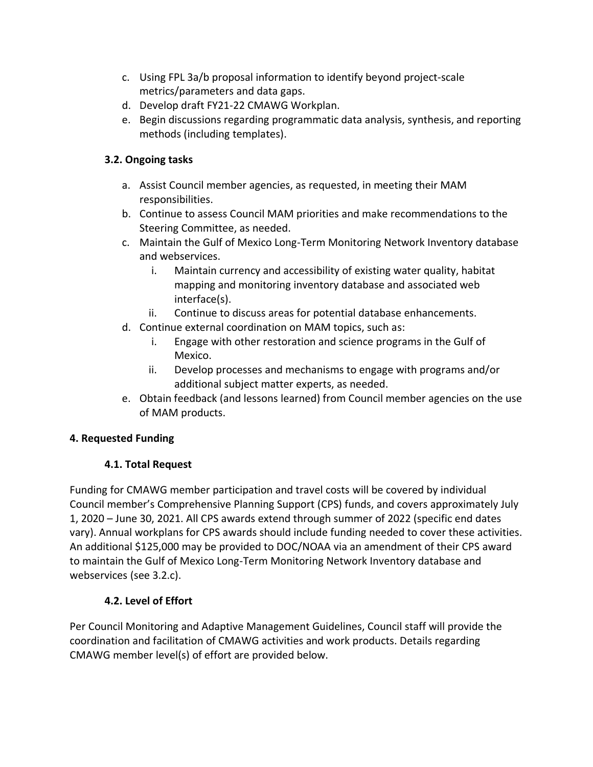- c. Using FPL 3a/b proposal information to identify beyond project-scale metrics/parameters and data gaps.
- d. Develop draft FY21-22 CMAWG Workplan.
- e. Begin discussions regarding programmatic data analysis, synthesis, and reporting methods (including templates).

## **3.2. Ongoing tasks**

- a. Assist Council member agencies, as requested, in meeting their MAM responsibilities.
- b. Continue to assess Council MAM priorities and make recommendations to the Steering Committee, as needed.
- c. Maintain the Gulf of Mexico Long-Term Monitoring Network Inventory database and webservices.
	- i. Maintain currency and accessibility of existing water quality, habitat mapping and monitoring inventory database and associated web interface(s).
	- ii. Continue to discuss areas for potential database enhancements.
- d. Continue external coordination on MAM topics, such as:
	- i. Engage with other restoration and science programs in the Gulf of Mexico.
	- ii. Develop processes and mechanisms to engage with programs and/or additional subject matter experts, as needed.
- e. Obtain feedback (and lessons learned) from Council member agencies on the use of MAM products.

## **4. Requested Funding**

## **4.1. Total Request**

Funding for CMAWG member participation and travel costs will be covered by individual Council member's Comprehensive Planning Support (CPS) funds, and covers approximately July 1, 2020 – June 30, 2021. All CPS awards extend through summer of 2022 (specific end dates vary). Annual workplans for CPS awards should include funding needed to cover these activities. An additional \$125,000 may be provided to DOC/NOAA via an amendment of their CPS award to maintain the Gulf of Mexico Long-Term Monitoring Network Inventory database and webservices (see 3.2.c).

### **4.2. Level of Effort**

Per Council Monitoring and Adaptive Management Guidelines, Council staff will provide the coordination and facilitation of CMAWG activities and work products. Details regarding CMAWG member level(s) of effort are provided below.